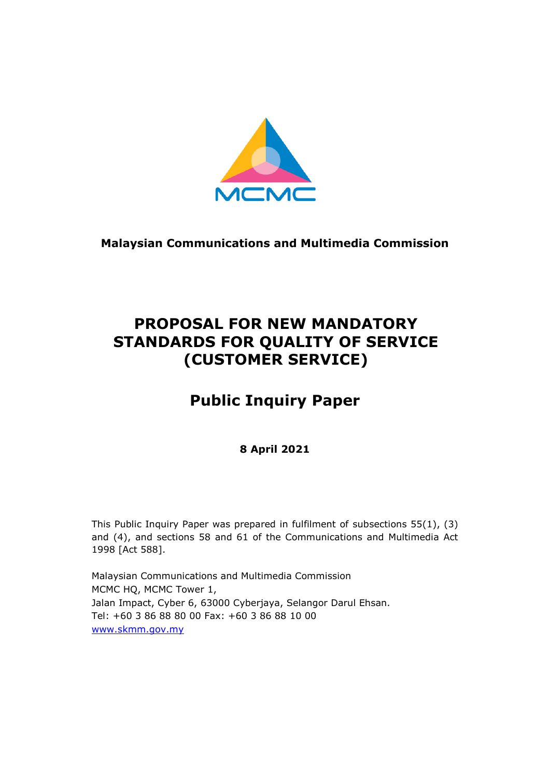

**Malaysian Communications and Multimedia Commission**

# **PROPOSAL FOR NEW MANDATORY STANDARDS FOR QUALITY OF SERVICE (CUSTOMER SERVICE)**

# **Public Inquiry Paper**

# **8 April 2021**

This Public Inquiry Paper was prepared in fulfilment of subsections 55(1), (3) and (4), and sections 58 and 61 of the Communications and Multimedia Act 1998 [Act 588].

Malaysian Communications and Multimedia Commission MCMC HQ, MCMC Tower 1, Jalan Impact, Cyber 6, 63000 Cyberjaya, Selangor Darul Ehsan. Tel: +60 3 86 88 80 00 Fax: +60 3 86 88 10 00 [www.skmm.gov.my](http://www.skmm.gov.my/)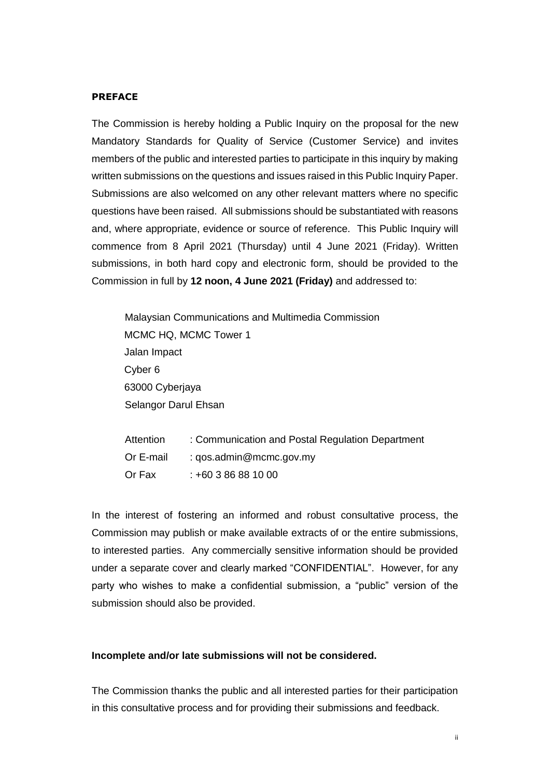#### **PREFACE**

The Commission is hereby holding a Public Inquiry on the proposal for the new Mandatory Standards for Quality of Service (Customer Service) and invites members of the public and interested parties to participate in this inquiry by making written submissions on the questions and issues raised in this Public Inquiry Paper. Submissions are also welcomed on any other relevant matters where no specific questions have been raised. All submissions should be substantiated with reasons and, where appropriate, evidence or source of reference. This Public Inquiry will commence from 8 April 2021 (Thursday) until 4 June 2021 (Friday). Written submissions, in both hard copy and electronic form, should be provided to the Commission in full by **12 noon, 4 June 2021 (Friday)** and addressed to:

Malaysian Communications and Multimedia Commission MCMC HQ, MCMC Tower 1 Jalan Impact Cyber 6 63000 Cyberjaya Selangor Darul Ehsan

| Attention | : Communication and Postal Regulation Department |
|-----------|--------------------------------------------------|
| Or E-mail | : $q$ os.admin@mcmc.gov.my                       |
| Or Fax    | $: +60386881000$                                 |

In the interest of fostering an informed and robust consultative process, the Commission may publish or make available extracts of or the entire submissions, to interested parties. Any commercially sensitive information should be provided under a separate cover and clearly marked "CONFIDENTIAL". However, for any party who wishes to make a confidential submission, a "public" version of the submission should also be provided.

#### **Incomplete and/or late submissions will not be considered.**

The Commission thanks the public and all interested parties for their participation in this consultative process and for providing their submissions and feedback.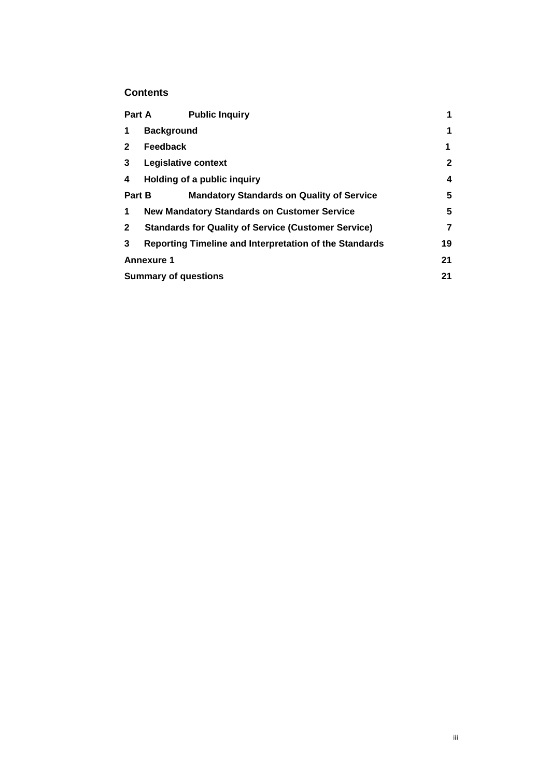## **Contents**

|              | <b>Public Inquiry</b><br><b>Part A</b>                     | 1            |
|--------------|------------------------------------------------------------|--------------|
| 1            | <b>Background</b>                                          | $\mathbf 1$  |
| $\mathbf{2}$ | <b>Feedback</b>                                            | 1            |
| 3            | Legislative context                                        | $\mathbf{2}$ |
| 4            | Holding of a public inquiry                                | 4            |
| Part B       | <b>Mandatory Standards on Quality of Service</b>           | 5            |
| 1            | <b>New Mandatory Standards on Customer Service</b>         | 5            |
| $\mathbf{2}$ | <b>Standards for Quality of Service (Customer Service)</b> | 7            |
| 3            | Reporting Timeline and Interpretation of the Standards     | 19           |
|              | <b>Annexure 1</b>                                          | 21           |
|              | <b>Summary of questions</b>                                | 21           |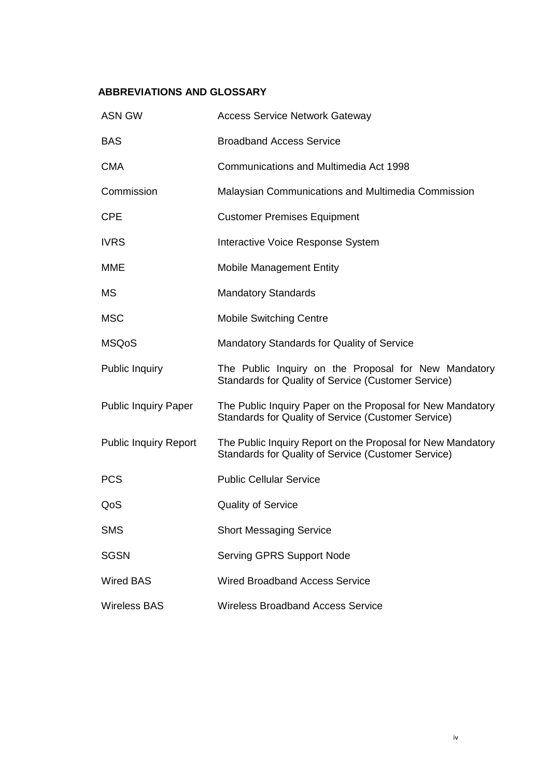# **ABBREVIATIONS AND GLOSSARY**

| <b>ASN GW</b>                | <b>Access Service Network Gateway</b>                                                                              |
|------------------------------|--------------------------------------------------------------------------------------------------------------------|
| <b>BAS</b>                   | <b>Broadband Access Service</b>                                                                                    |
| <b>CMA</b>                   | Communications and Multimedia Act 1998                                                                             |
| Commission                   | Malaysian Communications and Multimedia Commission                                                                 |
| <b>CPE</b>                   | <b>Customer Premises Equipment</b>                                                                                 |
| <b>IVRS</b>                  | Interactive Voice Response System                                                                                  |
| MME                          | <b>Mobile Management Entity</b>                                                                                    |
| <b>MS</b>                    | <b>Mandatory Standards</b>                                                                                         |
| <b>MSC</b>                   | <b>Mobile Switching Centre</b>                                                                                     |
| <b>MSQoS</b>                 | <b>Mandatory Standards for Quality of Service</b>                                                                  |
| <b>Public Inquiry</b>        | The Public Inquiry on the Proposal for New Mandatory<br>Standards for Quality of Service (Customer Service)        |
| <b>Public Inquiry Paper</b>  | The Public Inquiry Paper on the Proposal for New Mandatory<br>Standards for Quality of Service (Customer Service)  |
| <b>Public Inquiry Report</b> | The Public Inquiry Report on the Proposal for New Mandatory<br>Standards for Quality of Service (Customer Service) |
| <b>PCS</b>                   | <b>Public Cellular Service</b>                                                                                     |
| QoS                          | <b>Quality of Service</b>                                                                                          |
| <b>SMS</b>                   | <b>Short Messaging Service</b>                                                                                     |
| <b>SGSN</b>                  | <b>Serving GPRS Support Node</b>                                                                                   |
| <b>Wired BAS</b>             | <b>Wired Broadband Access Service</b>                                                                              |
| <b>Wireless BAS</b>          | <b>Wireless Broadband Access Service</b>                                                                           |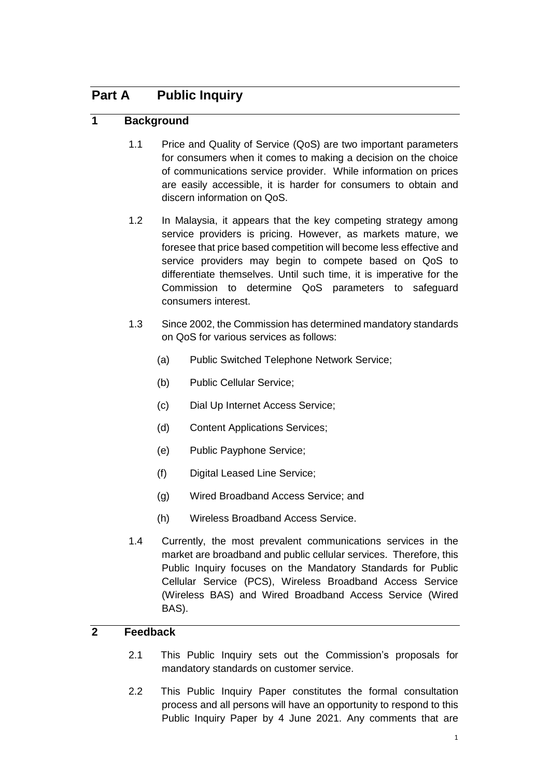# **Part A Public Inquiry**

# **1 Background**

- 1.1 Price and Quality of Service (QoS) are two important parameters for consumers when it comes to making a decision on the choice of communications service provider. While information on prices are easily accessible, it is harder for consumers to obtain and discern information on QoS.
- 1.2 In Malaysia, it appears that the key competing strategy among service providers is pricing. However, as markets mature, we foresee that price based competition will become less effective and service providers may begin to compete based on QoS to differentiate themselves. Until such time, it is imperative for the Commission to determine QoS parameters to safeguard consumers interest.
- 1.3 Since 2002, the Commission has determined mandatory standards on QoS for various services as follows:
	- (a) Public Switched Telephone Network Service;
	- (b) Public Cellular Service;
	- (c) Dial Up Internet Access Service;
	- (d) Content Applications Services;
	- (e) Public Payphone Service;
	- (f) Digital Leased Line Service;
	- (g) Wired Broadband Access Service; and
	- (h) Wireless Broadband Access Service.
- 1.4 Currently, the most prevalent communications services in the market are broadband and public cellular services. Therefore, this Public Inquiry focuses on the Mandatory Standards for Public Cellular Service (PCS), Wireless Broadband Access Service (Wireless BAS) and Wired Broadband Access Service (Wired BAS).

# **2 Feedback**

- 2.1 This Public Inquiry sets out the Commission's proposals for mandatory standards on customer service.
- 2.2 This Public Inquiry Paper constitutes the formal consultation process and all persons will have an opportunity to respond to this Public Inquiry Paper by 4 June 2021. Any comments that are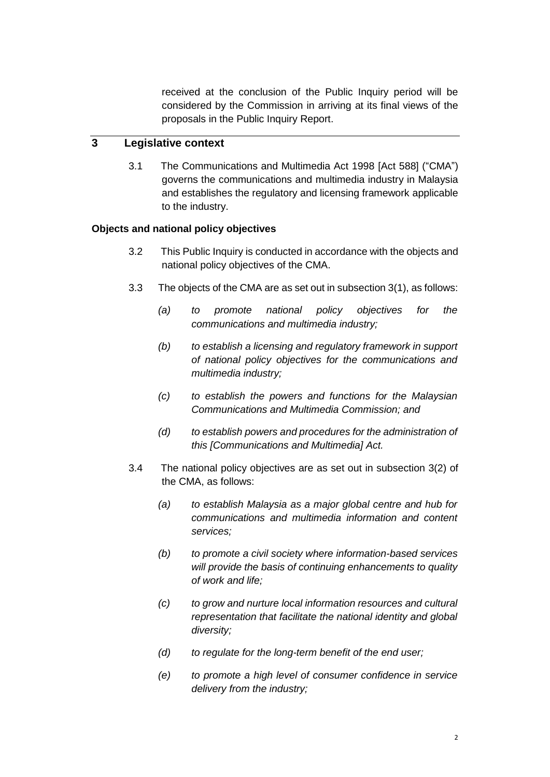received at the conclusion of the Public Inquiry period will be considered by the Commission in arriving at its final views of the proposals in the Public Inquiry Report.

# **3 Legislative context**

3.1 The Communications and Multimedia Act 1998 [Act 588] ("CMA") governs the communications and multimedia industry in Malaysia and establishes the regulatory and licensing framework applicable to the industry.

#### **Objects and national policy objectives**

- 3.2 This Public Inquiry is conducted in accordance with the objects and national policy objectives of the CMA.
- 3.3 The objects of the CMA are as set out in subsection 3(1), as follows:
	- *(a) to promote national policy objectives for the communications and multimedia industry;*
	- *(b) to establish a licensing and regulatory framework in support of national policy objectives for the communications and multimedia industry;*
	- *(c) to establish the powers and functions for the Malaysian Communications and Multimedia Commission; and*
	- *(d) to establish powers and procedures for the administration of this [Communications and Multimedia] Act.*
- 3.4 The national policy objectives are as set out in subsection 3(2) of the CMA, as follows:
	- *(a) to establish Malaysia as a major global centre and hub for communications and multimedia information and content services;*
	- *(b) to promote a civil society where information-based services will provide the basis of continuing enhancements to quality of work and life;*
	- *(c) to grow and nurture local information resources and cultural representation that facilitate the national identity and global diversity;*
	- *(d) to regulate for the long-term benefit of the end user;*
	- *(e) to promote a high level of consumer confidence in service delivery from the industry;*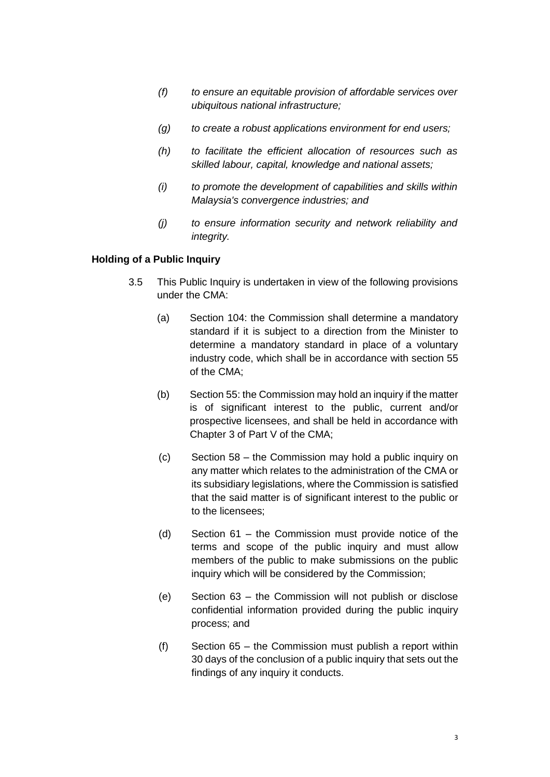- *(f) to ensure an equitable provision of affordable services over ubiquitous national infrastructure;*
- *(g) to create a robust applications environment for end users;*
- *(h) to facilitate the efficient allocation of resources such as skilled labour, capital, knowledge and national assets;*
- *(i) to promote the development of capabilities and skills within Malaysia's convergence industries; and*
- *(j) to ensure information security and network reliability and integrity.*

#### **Holding of a Public Inquiry**

- 3.5 This Public Inquiry is undertaken in view of the following provisions under the CMA:
	- (a) Section 104: the Commission shall determine a mandatory standard if it is subject to a direction from the Minister to determine a mandatory standard in place of a voluntary industry code, which shall be in accordance with section 55 of the CMA;
	- (b) Section 55: the Commission may hold an inquiry if the matter is of significant interest to the public, current and/or prospective licensees, and shall be held in accordance with Chapter 3 of Part V of the CMA;
	- (c) Section 58 the Commission may hold a public inquiry on any matter which relates to the administration of the CMA or its subsidiary legislations, where the Commission is satisfied that the said matter is of significant interest to the public or to the licensees;
	- (d) Section 61 the Commission must provide notice of the terms and scope of the public inquiry and must allow members of the public to make submissions on the public inquiry which will be considered by the Commission;
	- (e) Section 63 the Commission will not publish or disclose confidential information provided during the public inquiry process; and
	- (f) Section 65 the Commission must publish a report within 30 days of the conclusion of a public inquiry that sets out the findings of any inquiry it conducts.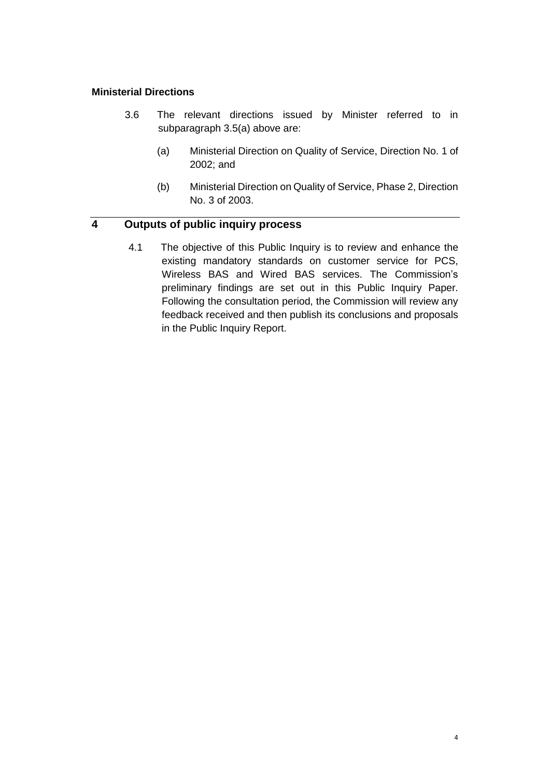#### **Ministerial Directions**

- 3.6 The relevant directions issued by Minister referred to in subparagraph 3.5(a) above are:
	- (a) Ministerial Direction on Quality of Service, Direction No. 1 of 2002; and
	- (b) Ministerial Direction on Quality of Service, Phase 2, Direction No. 3 of 2003.

# **4 Outputs of public inquiry process**

4.1 The objective of this Public Inquiry is to review and enhance the existing mandatory standards on customer service for PCS, Wireless BAS and Wired BAS services. The Commission's preliminary findings are set out in this Public Inquiry Paper. Following the consultation period, the Commission will review any feedback received and then publish its conclusions and proposals in the Public Inquiry Report.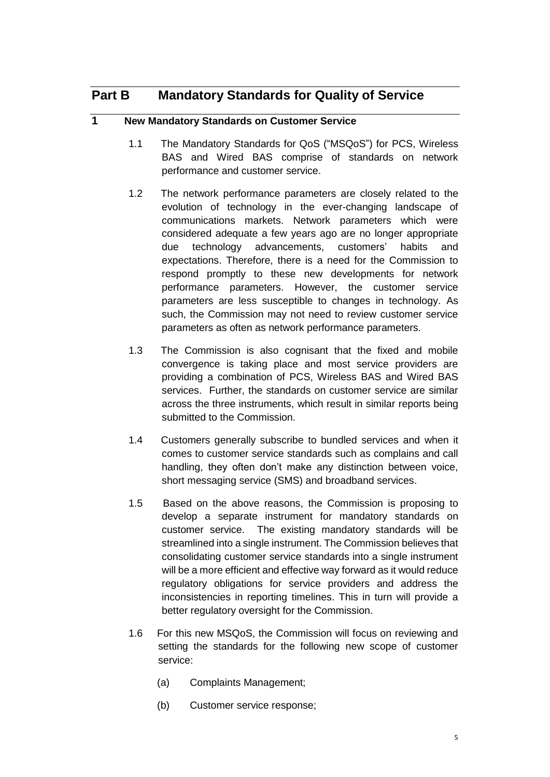# **Part B Mandatory Standards for Quality of Service**

# **1 New Mandatory Standards on Customer Service**

- 1.1 The Mandatory Standards for QoS ("MSQoS") for PCS, Wireless BAS and Wired BAS comprise of standards on network performance and customer service.
- 1.2 The network performance parameters are closely related to the evolution of technology in the ever-changing landscape of communications markets. Network parameters which were considered adequate a few years ago are no longer appropriate due technology advancements, customers' habits and expectations. Therefore, there is a need for the Commission to respond promptly to these new developments for network performance parameters. However, the customer service parameters are less susceptible to changes in technology. As such, the Commission may not need to review customer service parameters as often as network performance parameters.
- 1.3 The Commission is also cognisant that the fixed and mobile convergence is taking place and most service providers are providing a combination of PCS, Wireless BAS and Wired BAS services. Further, the standards on customer service are similar across the three instruments, which result in similar reports being submitted to the Commission.
- 1.4 Customers generally subscribe to bundled services and when it comes to customer service standards such as complains and call handling, they often don't make any distinction between voice, short messaging service (SMS) and broadband services.
- 1.5 Based on the above reasons, the Commission is proposing to develop a separate instrument for mandatory standards on customer service. The existing mandatory standards will be streamlined into a single instrument. The Commission believes that consolidating customer service standards into a single instrument will be a more efficient and effective way forward as it would reduce regulatory obligations for service providers and address the inconsistencies in reporting timelines. This in turn will provide a better regulatory oversight for the Commission.
- 1.6 For this new MSQoS, the Commission will focus on reviewing and setting the standards for the following new scope of customer service:
	- (a) Complaints Management;
	- (b) Customer service response;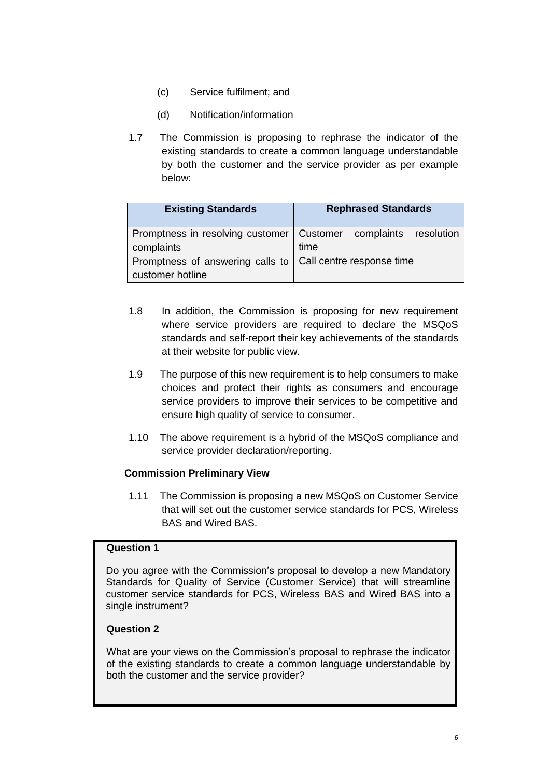- (c) Service fulfilment; and
- (d) Notification/information
- 1.7 The Commission is proposing to rephrase the indicator of the existing standards to create a common language understandable by both the customer and the service provider as per example below:

| <b>Existing Standards</b>                                          | <b>Rephrased Standards</b>                                        |  |  |
|--------------------------------------------------------------------|-------------------------------------------------------------------|--|--|
|                                                                    | Promptness in resolving customer   Customer complaints resolution |  |  |
| complaints                                                         | time                                                              |  |  |
| Promptness of answering calls to $\vert$ Call centre response time |                                                                   |  |  |
| customer hotline                                                   |                                                                   |  |  |

- 1.8 In addition, the Commission is proposing for new requirement where service providers are required to declare the MSQoS standards and self-report their key achievements of the standards at their website for public view.
- 1.9 The purpose of this new requirement is to help consumers to make choices and protect their rights as consumers and encourage service providers to improve their services to be competitive and ensure high quality of service to consumer.
- 1.10 The above requirement is a hybrid of the MSQoS compliance and service provider declaration/reporting.

#### **Commission Preliminary View**

1.11 The Commission is proposing a new MSQoS on Customer Service that will set out the customer service standards for PCS, Wireless BAS and Wired BAS.

## **Question 1**

Do you agree with the Commission's proposal to develop a new Mandatory Standards for Quality of Service (Customer Service) that will streamline customer service standards for PCS, Wireless BAS and Wired BAS into a single instrument?

#### **Question 2**

What are your views on the Commission's proposal to rephrase the indicator of the existing standards to create a common language understandable by both the customer and the service provider?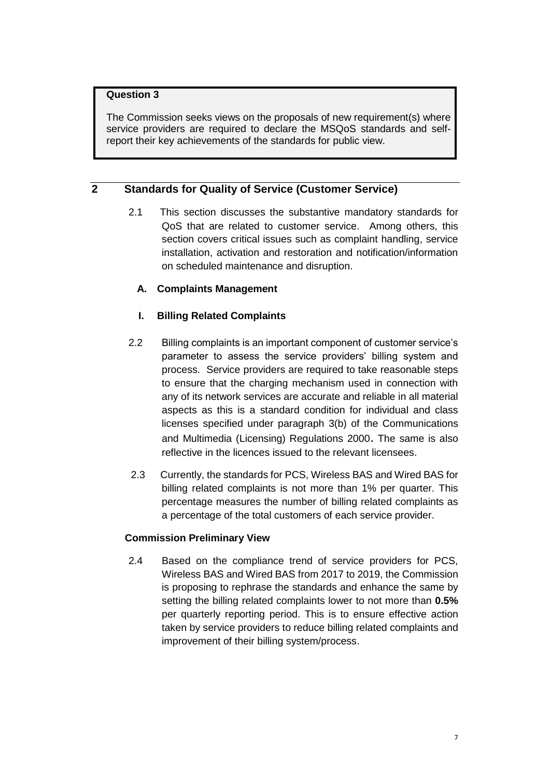The Commission seeks views on the proposals of new requirement(s) where service providers are required to declare the MSQoS standards and selfreport their key achievements of the standards for public view.

# **2 Standards for Quality of Service (Customer Service)**

2.1 This section discusses the substantive mandatory standards for QoS that are related to customer service. Among others, this section covers critical issues such as complaint handling, service installation, activation and restoration and notification/information on scheduled maintenance and disruption.

# **A. Complaints Management**

# **I. Billing Related Complaints**

- 2.2 Billing complaints is an important component of customer service's parameter to assess the service providers' billing system and process. Service providers are required to take reasonable steps to ensure that the charging mechanism used in connection with any of its network services are accurate and reliable in all material aspects as this is a standard condition for individual and class licenses specified under paragraph 3(b) of the Communications and Multimedia (Licensing) Regulations 2000. The same is also reflective in the licences issued to the relevant licensees.
- 2.3 Currently, the standards for PCS, Wireless BAS and Wired BAS for billing related complaints is not more than 1% per quarter. This percentage measures the number of billing related complaints as a percentage of the total customers of each service provider.

# **Commission Preliminary View**

2.4 Based on the compliance trend of service providers for PCS, Wireless BAS and Wired BAS from 2017 to 2019, the Commission is proposing to rephrase the standards and enhance the same by setting the billing related complaints lower to not more than **0.5%** per quarterly reporting period. This is to ensure effective action taken by service providers to reduce billing related complaints and improvement of their billing system/process.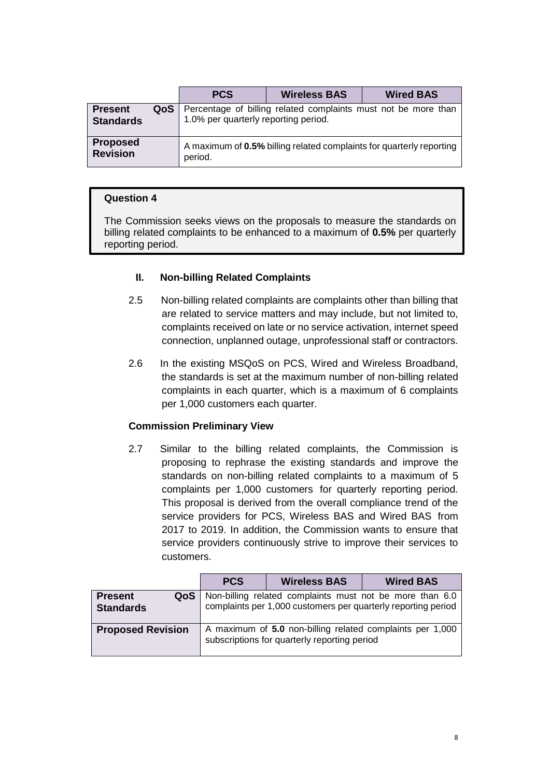|                                    |     | <b>PCS</b>                                                                                             | <b>Wireless BAS</b> | <b>Wired BAS</b>                                                     |  |
|------------------------------------|-----|--------------------------------------------------------------------------------------------------------|---------------------|----------------------------------------------------------------------|--|
| <b>Present</b><br><b>Standards</b> | QoS | Percentage of billing related complaints must not be more than<br>1.0% per quarterly reporting period. |                     |                                                                      |  |
| <b>Proposed</b><br><b>Revision</b> |     | period.                                                                                                |                     | A maximum of 0.5% billing related complaints for quarterly reporting |  |

The Commission seeks views on the proposals to measure the standards on billing related complaints to be enhanced to a maximum of **0.5%** per quarterly reporting period.

## **II. Non-billing Related Complaints**

- 2.5 Non-billing related complaints are complaints other than billing that are related to service matters and may include, but not limited to, complaints received on late or no service activation, internet speed connection, unplanned outage, unprofessional staff or contractors.
- 2.6 In the existing MSQoS on PCS, Wired and Wireless Broadband, the standards is set at the maximum number of non-billing related complaints in each quarter, which is a maximum of 6 complaints per 1,000 customers each quarter.

#### **Commission Preliminary View**

2.7 Similar to the billing related complaints, the Commission is proposing to rephrase the existing standards and improve the standards on non-billing related complaints to a maximum of 5 complaints per 1,000 customers for quarterly reporting period. This proposal is derived from the overall compliance trend of the service providers for PCS, Wireless BAS and Wired BAS from 2017 to 2019. In addition, the Commission wants to ensure that service providers continuously strive to improve their services to customers.

|                                           | <b>PCS</b>                                                                                                | <b>Wireless BAS</b> | <b>Wired BAS</b>                                                                                                          |
|-------------------------------------------|-----------------------------------------------------------------------------------------------------------|---------------------|---------------------------------------------------------------------------------------------------------------------------|
| QoS<br><b>Present</b><br><b>Standards</b> |                                                                                                           |                     | Non-billing related complaints must not be more than 6.0<br>complaints per 1,000 customers per quarterly reporting period |
| <b>Proposed Revision</b>                  | A maximum of 5.0 non-billing related complaints per 1,000<br>subscriptions for quarterly reporting period |                     |                                                                                                                           |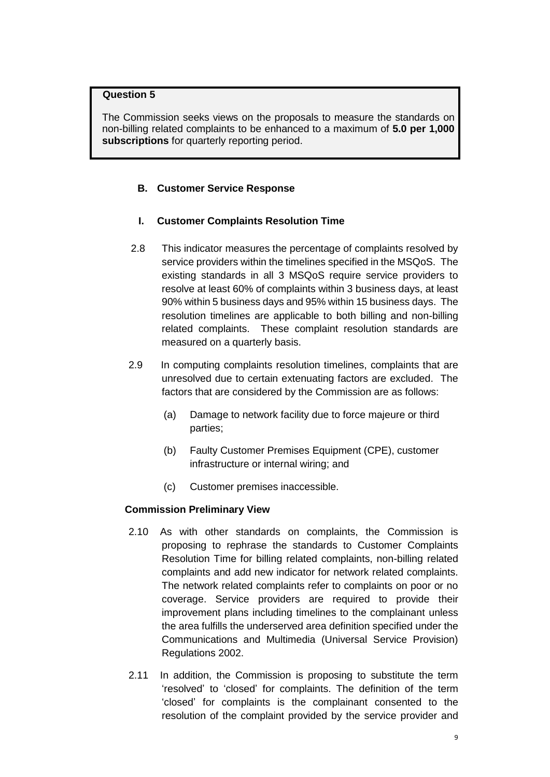The Commission seeks views on the proposals to measure the standards on non-billing related complaints to be enhanced to a maximum of **5.0 per 1,000 subscriptions** for quarterly reporting period.

## **B. Customer Service Response**

#### **I. Customer Complaints Resolution Time**

- 2.8 This indicator measures the percentage of complaints resolved by service providers within the timelines specified in the MSQoS. The existing standards in all 3 MSQoS require service providers to resolve at least 60% of complaints within 3 business days, at least 90% within 5 business days and 95% within 15 business days. The resolution timelines are applicable to both billing and non-billing related complaints. These complaint resolution standards are measured on a quarterly basis.
- 2.9 In computing complaints resolution timelines, complaints that are unresolved due to certain extenuating factors are excluded. The factors that are considered by the Commission are as follows:
	- (a) Damage to network facility due to force majeure or third parties;
	- (b) Faulty Customer Premises Equipment (CPE), customer infrastructure or internal wiring; and
	- (c) Customer premises inaccessible.

#### **Commission Preliminary View**

- 2.10 As with other standards on complaints, the Commission is proposing to rephrase the standards to Customer Complaints Resolution Time for billing related complaints, non-billing related complaints and add new indicator for network related complaints. The network related complaints refer to complaints on poor or no coverage. Service providers are required to provide their improvement plans including timelines to the complainant unless the area fulfills the underserved area definition specified under the Communications and Multimedia (Universal Service Provision) Regulations 2002.
- 2.11 In addition, the Commission is proposing to substitute the term 'resolved' to 'closed' for complaints. The definition of the term 'closed' for complaints is the complainant consented to the resolution of the complaint provided by the service provider and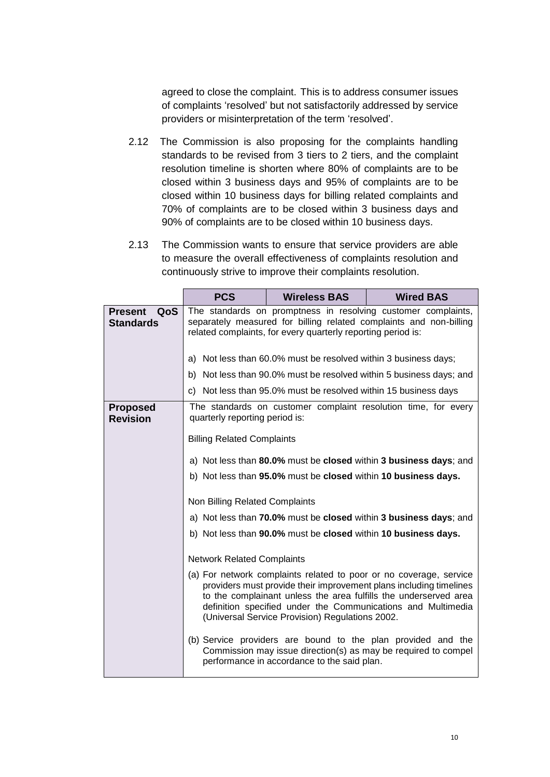agreed to close the complaint. This is to address consumer issues of complaints 'resolved' but not satisfactorily addressed by service providers or misinterpretation of the term 'resolved'.

- 2.12 The Commission is also proposing for the complaints handling standards to be revised from 3 tiers to 2 tiers, and the complaint resolution timeline is shorten where 80% of complaints are to be closed within 3 business days and 95% of complaints are to be closed within 10 business days for billing related complaints and 70% of complaints are to be closed within 3 business days and 90% of complaints are to be closed within 10 business days.
- 2.13 The Commission wants to ensure that service providers are able to measure the overall effectiveness of complaints resolution and continuously strive to improve their complaints resolution.

|                                           | <b>PCS</b>                                                                                                                                                                                                                                                                                                                      | <b>Wireless BAS</b>                                             | <b>Wired BAS</b>                                                                                                               |  |
|-------------------------------------------|---------------------------------------------------------------------------------------------------------------------------------------------------------------------------------------------------------------------------------------------------------------------------------------------------------------------------------|-----------------------------------------------------------------|--------------------------------------------------------------------------------------------------------------------------------|--|
| QoS<br><b>Present</b><br><b>Standards</b> | The standards on promptness in resolving customer complaints,<br>separately measured for billing related complaints and non-billing<br>related complaints, for every quarterly reporting period is:                                                                                                                             |                                                                 |                                                                                                                                |  |
|                                           |                                                                                                                                                                                                                                                                                                                                 | a) Not less than 60.0% must be resolved within 3 business days; |                                                                                                                                |  |
|                                           |                                                                                                                                                                                                                                                                                                                                 |                                                                 | b) Not less than 90.0% must be resolved within 5 business days; and                                                            |  |
|                                           |                                                                                                                                                                                                                                                                                                                                 | c) Not less than 95.0% must be resolved within 15 business days |                                                                                                                                |  |
| <b>Proposed</b><br><b>Revision</b>        | quarterly reporting period is:<br><b>Billing Related Complaints</b>                                                                                                                                                                                                                                                             |                                                                 | The standards on customer complaint resolution time, for every                                                                 |  |
|                                           |                                                                                                                                                                                                                                                                                                                                 |                                                                 |                                                                                                                                |  |
|                                           | a) Not less than 80.0% must be closed within 3 business days; and                                                                                                                                                                                                                                                               |                                                                 |                                                                                                                                |  |
|                                           | b) Not less than 95.0% must be closed within 10 business days.                                                                                                                                                                                                                                                                  |                                                                 |                                                                                                                                |  |
|                                           | Non Billing Related Complaints                                                                                                                                                                                                                                                                                                  |                                                                 |                                                                                                                                |  |
|                                           | a) Not less than 70.0% must be closed within 3 business days; and                                                                                                                                                                                                                                                               |                                                                 |                                                                                                                                |  |
|                                           | b) Not less than 90.0% must be closed within 10 business days.                                                                                                                                                                                                                                                                  |                                                                 |                                                                                                                                |  |
|                                           | <b>Network Related Complaints</b>                                                                                                                                                                                                                                                                                               |                                                                 |                                                                                                                                |  |
|                                           | (a) For network complaints related to poor or no coverage, service<br>providers must provide their improvement plans including timelines<br>to the complainant unless the area fulfills the underserved area<br>definition specified under the Communications and Multimedia<br>(Universal Service Provision) Regulations 2002. |                                                                 |                                                                                                                                |  |
|                                           |                                                                                                                                                                                                                                                                                                                                 | performance in accordance to the said plan.                     | (b) Service providers are bound to the plan provided and the<br>Commission may issue direction(s) as may be required to compel |  |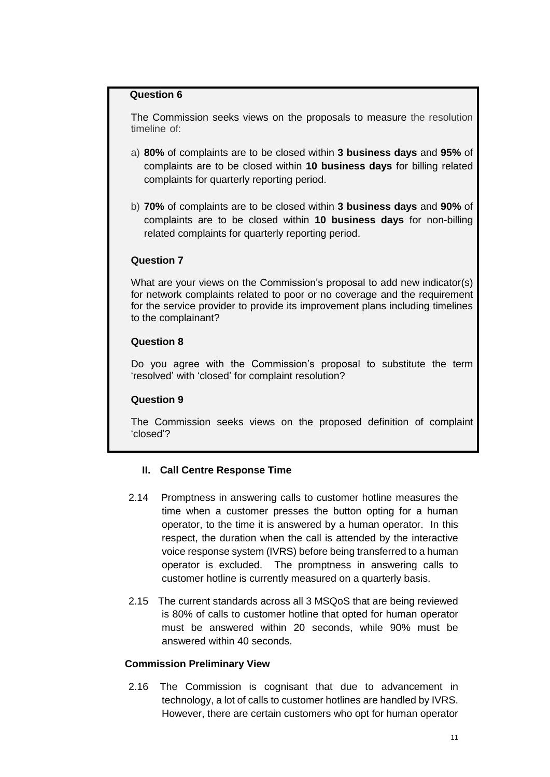The Commission seeks views on the proposals to measure the resolution timeline of:

- a) **80%** of complaints are to be closed within **3 business days** and **95%** of complaints are to be closed within **10 business days** for billing related complaints for quarterly reporting period.
- b) **70%** of complaints are to be closed within **3 business days** and **90%** of complaints are to be closed within **10 business days** for non-billing related complaints for quarterly reporting period.

#### **Question 7**

What are your views on the Commission's proposal to add new indicator(s) for network complaints related to poor or no coverage and the requirement for the service provider to provide its improvement plans including timelines to the complainant?

#### **Question 8**

Do you agree with the Commission's proposal to substitute the term 'resolved' with 'closed' for complaint resolution?

#### **Question 9**

The Commission seeks views on the proposed definition of complaint 'closed'?

#### **II. Call Centre Response Time**

- 2.14 Promptness in answering calls to customer hotline measures the time when a customer presses the button opting for a human operator, to the time it is answered by a human operator. In this respect, the duration when the call is attended by the interactive voice response system (IVRS) before being transferred to a human operator is excluded. The promptness in answering calls to customer hotline is currently measured on a quarterly basis.
- 2.15 The current standards across all 3 MSQoS that are being reviewed is 80% of calls to customer hotline that opted for human operator must be answered within 20 seconds, while 90% must be answered within 40 seconds.

#### **Commission Preliminary View**

2.16 The Commission is cognisant that due to advancement in technology, a lot of calls to customer hotlines are handled by IVRS. However, there are certain customers who opt for human operator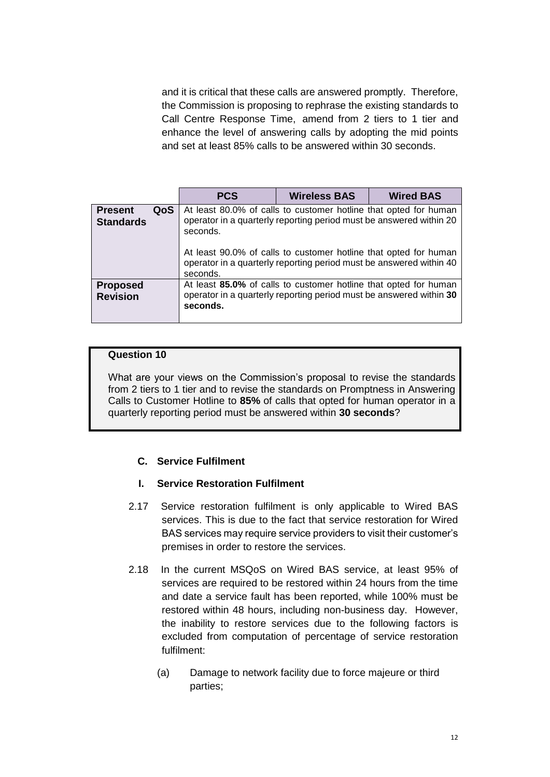and it is critical that these calls are answered promptly. Therefore, the Commission is proposing to rephrase the existing standards to Call Centre Response Time, amend from 2 tiers to 1 tier and enhance the level of answering calls by adopting the mid points and set at least 85% calls to be answered within 30 seconds.

|                                           | <b>PCS</b>                                                                                                                                                                                                                                                                                                 | <b>Wireless BAS</b> | <b>Wired BAS</b> |
|-------------------------------------------|------------------------------------------------------------------------------------------------------------------------------------------------------------------------------------------------------------------------------------------------------------------------------------------------------------|---------------------|------------------|
| QoS<br><b>Present</b><br><b>Standards</b> | At least 80.0% of calls to customer hotline that opted for human<br>operator in a quarterly reporting period must be answered within 20<br>seconds.<br>At least 90.0% of calls to customer hotline that opted for human<br>operator in a quarterly reporting period must be answered within 40<br>seconds. |                     |                  |
| <b>Proposed</b><br><b>Revision</b>        | At least 85.0% of calls to customer hotline that opted for human<br>operator in a quarterly reporting period must be answered within 30<br>seconds.                                                                                                                                                        |                     |                  |

#### **Question 10**

What are your views on the Commission's proposal to revise the standards from 2 tiers to 1 tier and to revise the standards on Promptness in Answering Calls to Customer Hotline to **85%** of calls that opted for human operator in a quarterly reporting period must be answered within **30 seconds**?

# **C. Service Fulfilment**

# **I. Service Restoration Fulfilment**

- 2.17 Service restoration fulfilment is only applicable to Wired BAS services. This is due to the fact that service restoration for Wired BAS services may require service providers to visit their customer's premises in order to restore the services.
- 2.18 In the current MSQoS on Wired BAS service, at least 95% of services are required to be restored within 24 hours from the time and date a service fault has been reported, while 100% must be restored within 48 hours, including non-business day. However, the inability to restore services due to the following factors is excluded from computation of percentage of service restoration fulfilment:
	- (a) Damage to network facility due to force majeure or third parties;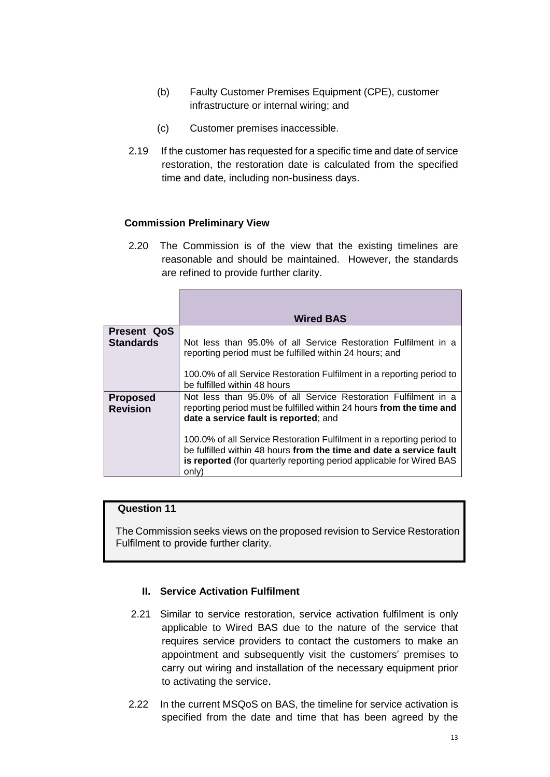- (b) Faulty Customer Premises Equipment (CPE), customer infrastructure or internal wiring; and
- (c) Customer premises inaccessible.
- 2.19 If the customer has requested for a specific time and date of service restoration, the restoration date is calculated from the specified time and date, including non-business days.

## **Commission Preliminary View**

2.20 The Commission is of the view that the existing timelines are reasonable and should be maintained. However, the standards are refined to provide further clarity.

|                                    | <b>Wired BAS</b>                                                                                                                                                                                                              |
|------------------------------------|-------------------------------------------------------------------------------------------------------------------------------------------------------------------------------------------------------------------------------|
| <b>Present QoS</b>                 |                                                                                                                                                                                                                               |
| <b>Standards</b>                   | Not less than 95.0% of all Service Restoration Fulfilment in a<br>reporting period must be fulfilled within 24 hours; and                                                                                                     |
|                                    | 100.0% of all Service Restoration Fulfilment in a reporting period to<br>be fulfilled within 48 hours                                                                                                                         |
| <b>Proposed</b><br><b>Revision</b> | Not less than 95.0% of all Service Restoration Fulfilment in a<br>reporting period must be fulfilled within 24 hours from the time and<br>date a service fault is reported; and                                               |
|                                    | 100.0% of all Service Restoration Fulfilment in a reporting period to<br>be fulfilled within 48 hours from the time and date a service fault<br>is reported (for quarterly reporting period applicable for Wired BAS<br>only) |

#### **Question 11**

The Commission seeks views on the proposed revision to Service Restoration Fulfilment to provide further clarity.

# **II. Service Activation Fulfilment**

- 2.21 Similar to service restoration, service activation fulfilment is only applicable to Wired BAS due to the nature of the service that requires service providers to contact the customers to make an appointment and subsequently visit the customers' premises to carry out wiring and installation of the necessary equipment prior to activating the service.
- 2.22 In the current MSQoS on BAS, the timeline for service activation is specified from the date and time that has been agreed by the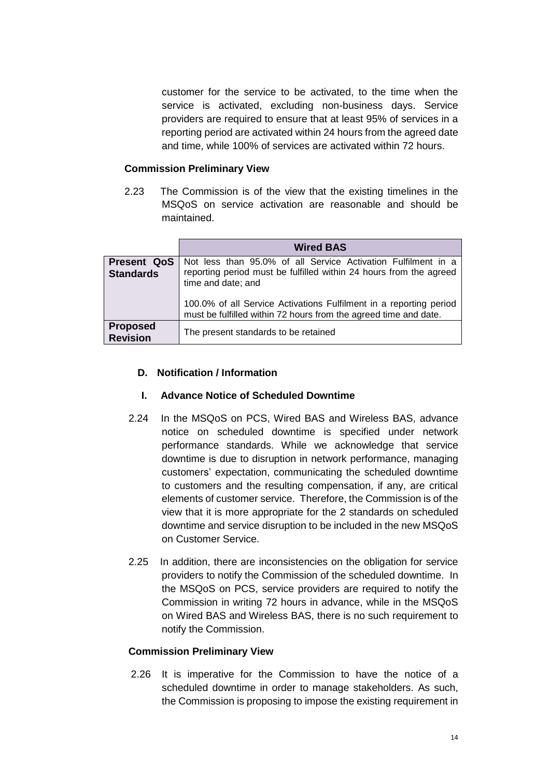customer for the service to be activated, to the time when the service is activated, excluding non-business days. Service providers are required to ensure that at least 95% of services in a reporting period are activated within 24 hours from the agreed date and time, while 100% of services are activated within 72 hours.

#### **Commission Preliminary View**

2.23 The Commission is of the view that the existing timelines in the MSQoS on service activation are reasonable and should be maintained.

|                                        | <b>Wired BAS</b>                                                                                                                                          |
|----------------------------------------|-----------------------------------------------------------------------------------------------------------------------------------------------------------|
| <b>Present QoS</b><br><b>Standards</b> | Not less than 95.0% of all Service Activation Fulfilment in a<br>reporting period must be fulfilled within 24 hours from the agreed<br>time and date; and |
|                                        | 100.0% of all Service Activations Fulfilment in a reporting period<br>must be fulfilled within 72 hours from the agreed time and date.                    |
| <b>Proposed</b><br><b>Revision</b>     | The present standards to be retained                                                                                                                      |

#### **D. Notification / Information**

#### **I. Advance Notice of Scheduled Downtime**

- 2.24 In the MSQoS on PCS, Wired BAS and Wireless BAS, advance notice on scheduled downtime is specified under network performance standards. While we acknowledge that service downtime is due to disruption in network performance, managing customers' expectation, communicating the scheduled downtime to customers and the resulting compensation, if any, are critical elements of customer service. Therefore, the Commission is of the view that it is more appropriate for the 2 standards on scheduled downtime and service disruption to be included in the new MSQoS on Customer Service.
- 2.25 In addition, there are inconsistencies on the obligation for service providers to notify the Commission of the scheduled downtime. In the MSQoS on PCS, service providers are required to notify the Commission in writing 72 hours in advance, while in the MSQoS on Wired BAS and Wireless BAS, there is no such requirement to notify the Commission.

#### **Commission Preliminary View**

2.26 It is imperative for the Commission to have the notice of a scheduled downtime in order to manage stakeholders. As such, the Commission is proposing to impose the existing requirement in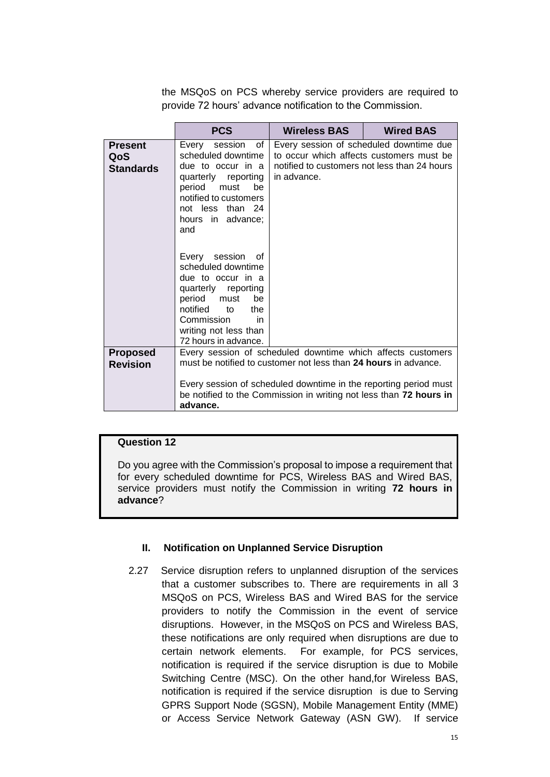the MSQoS on PCS whereby service providers are required to provide 72 hours' advance notification to the Commission.

|                                           | <b>PCS</b>                                                                                                                                                                                                        | Wireless BAS                                                                                                                                                                                                                                                             | <b>Wired BAS</b>                                                                                                                    |
|-------------------------------------------|-------------------------------------------------------------------------------------------------------------------------------------------------------------------------------------------------------------------|--------------------------------------------------------------------------------------------------------------------------------------------------------------------------------------------------------------------------------------------------------------------------|-------------------------------------------------------------------------------------------------------------------------------------|
| <b>Present</b><br>QoS<br><b>Standards</b> | Every session of<br>scheduled downtime<br>due to occur in a<br>quarterly reporting<br>period must<br>be<br>notified to customers<br>not less than 24<br>hours in advance;<br>and                                  | in advance.                                                                                                                                                                                                                                                              | Every session of scheduled downtime due<br>to occur which affects customers must be<br>notified to customers not less than 24 hours |
|                                           | Every<br>session<br>of<br>scheduled downtime<br>due to occur in a<br>quarterly reporting<br>period<br>must<br>be<br>notified<br>the<br>to<br>Commission<br>in in<br>writing not less than<br>72 hours in advance. |                                                                                                                                                                                                                                                                          |                                                                                                                                     |
| <b>Proposed</b><br><b>Revision</b>        | advance.                                                                                                                                                                                                          | Every session of scheduled downtime which affects customers<br>must be notified to customer not less than 24 hours in advance.<br>Every session of scheduled downtime in the reporting period must<br>be notified to the Commission in writing not less than 72 hours in |                                                                                                                                     |

# **Question 12**

Do you agree with the Commission's proposal to impose a requirement that for every scheduled downtime for PCS, Wireless BAS and Wired BAS, service providers must notify the Commission in writing **72 hours in advance**?

#### **II. Notification on Unplanned Service Disruption**

2.27 Service disruption refers to unplanned disruption of the services that a customer subscribes to. There are requirements in all 3 MSQoS on PCS, Wireless BAS and Wired BAS for the service providers to notify the Commission in the event of service disruptions. However, in the MSQoS on PCS and Wireless BAS, these notifications are only required when disruptions are due to certain network elements. For example, for PCS services, notification is required if the service disruption is due to Mobile Switching Centre (MSC). On the other hand,for Wireless BAS, notification is required if the service disruption is due to Serving GPRS Support Node (SGSN), Mobile Management Entity (MME) or Access Service Network Gateway (ASN GW). If service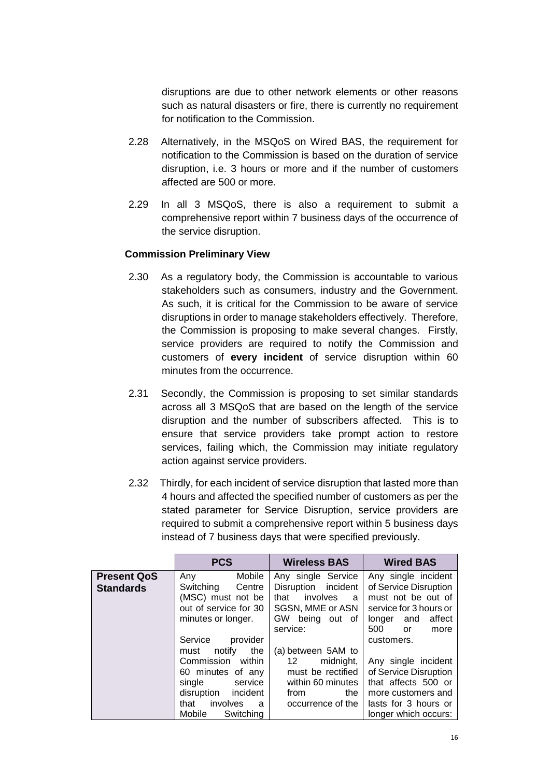disruptions are due to other network elements or other reasons such as natural disasters or fire, there is currently no requirement for notification to the Commission.

- 2.28 Alternatively, in the MSQoS on Wired BAS, the requirement for notification to the Commission is based on the duration of service disruption, i.e. 3 hours or more and if the number of customers affected are 500 or more.
- 2.29 In all 3 MSQoS, there is also a requirement to submit a comprehensive report within 7 business days of the occurrence of the service disruption.

#### **Commission Preliminary View**

- 2.30 As a regulatory body, the Commission is accountable to various stakeholders such as consumers, industry and the Government. As such, it is critical for the Commission to be aware of service disruptions in order to manage stakeholders effectively. Therefore, the Commission is proposing to make several changes. Firstly, service providers are required to notify the Commission and customers of **every incident** of service disruption within 60 minutes from the occurrence.
- 2.31 Secondly, the Commission is proposing to set similar standards across all 3 MSQoS that are based on the length of the service disruption and the number of subscribers affected. This is to ensure that service providers take prompt action to restore services, failing which, the Commission may initiate regulatory action against service providers.
- 2.32 Thirdly, for each incident of service disruption that lasted more than 4 hours and affected the specified number of customers as per the stated parameter for Service Disruption, service providers are required to submit a comprehensive report within 5 business days instead of 7 business days that were specified previously.

|                                        | <b>PCS</b>                                                                                                                                                                              | <b>Wireless BAS</b>                                                                                                             | <b>Wired BAS</b>                                                                                                                                                             |
|----------------------------------------|-----------------------------------------------------------------------------------------------------------------------------------------------------------------------------------------|---------------------------------------------------------------------------------------------------------------------------------|------------------------------------------------------------------------------------------------------------------------------------------------------------------------------|
| <b>Present QoS</b><br><b>Standards</b> | Mobile<br>Any<br>Switching<br>Centre<br>(MSC) must not be<br>out of service for 30<br>minutes or longer.                                                                                | Any single Service<br>Disruption incident<br>involves<br>that<br>a<br>SGSN, MME or ASN<br>GW.<br>being out of                   | Any single incident<br>of Service Disruption<br>must not be out of<br>service for 3 hours or<br>affect<br>longer and                                                         |
|                                        | Service<br>provider<br>the<br>notify<br>must<br>Commission<br>within<br>60 minutes of any<br>single service<br>disruption<br>incident<br>involves<br>that<br>- a<br>Mobile<br>Switching | service:<br>(a) between 5AM to<br>midnight,<br>12<br>must be rectified<br>within 60 minutes<br>the<br>from<br>occurrence of the | 500<br>or<br>more<br>customers.<br>Any single incident<br>of Service Disruption<br>that affects 500 or<br>more customers and<br>lasts for 3 hours or<br>longer which occurs: |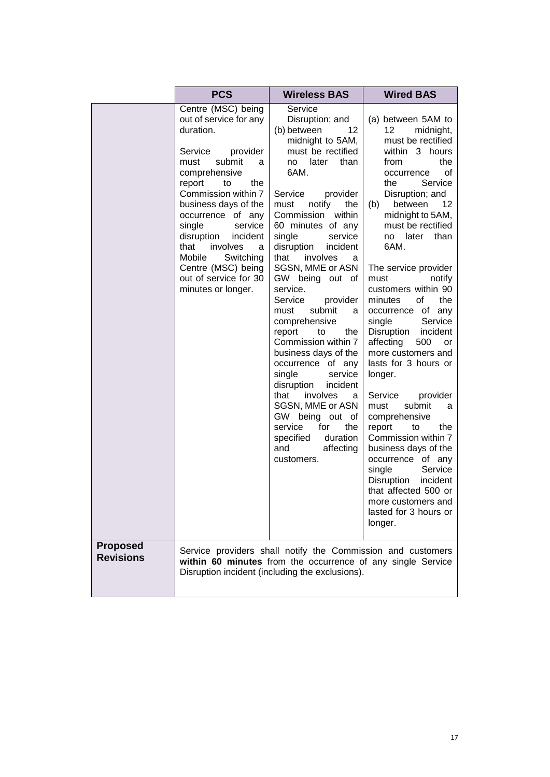|                  | <b>PCS</b>                                                                                                                                                                                                                                                                                                                                                                              | <b>Wireless BAS</b>                                                                                                                                                                                                                                                                                                                                                                                                                                                                                                                                                                                                                                                                                       | <b>Wired BAS</b>                                                                                                                                                                                                                                                                                                                                                                                                                                                                                                                                                                                                                                                                                                                                                                                          |
|------------------|-----------------------------------------------------------------------------------------------------------------------------------------------------------------------------------------------------------------------------------------------------------------------------------------------------------------------------------------------------------------------------------------|-----------------------------------------------------------------------------------------------------------------------------------------------------------------------------------------------------------------------------------------------------------------------------------------------------------------------------------------------------------------------------------------------------------------------------------------------------------------------------------------------------------------------------------------------------------------------------------------------------------------------------------------------------------------------------------------------------------|-----------------------------------------------------------------------------------------------------------------------------------------------------------------------------------------------------------------------------------------------------------------------------------------------------------------------------------------------------------------------------------------------------------------------------------------------------------------------------------------------------------------------------------------------------------------------------------------------------------------------------------------------------------------------------------------------------------------------------------------------------------------------------------------------------------|
| <b>Proposed</b>  | Centre (MSC) being<br>out of service for any<br>duration.<br>Service<br>provider<br>submit<br>must<br>a<br>comprehensive<br>the<br>report<br>to<br>Commission within 7<br>business days of the<br>occurrence of any<br>single<br>service<br>disruption<br>incident<br>that<br>involves<br>a<br>Mobile<br>Switching<br>Centre (MSC) being<br>out of service for 30<br>minutes or longer. | Service<br>Disruption; and<br>12<br>(b) between<br>midnight to 5AM,<br>must be rectified<br>no later<br>than<br>6AM.<br>Service<br>provider<br>notify<br>the<br>must<br>Commission<br>within<br>60 minutes of any<br>single<br>service<br>disruption<br>incident<br>involves<br>that<br>a<br>SGSN, MME or ASN<br>GW being out of<br>service.<br>Service<br>provider<br>submit<br>must<br>a<br>comprehensive<br>report<br>the<br>to<br>Commission within 7<br>business days of the<br>occurrence of any<br>single<br>service<br>disruption<br>incident<br>that<br>involves<br>a<br>SGSN, MME or ASN<br>GW being out of<br>service<br>for<br>the<br>specified<br>duration<br>affecting<br>and<br>customers. | (a) between 5AM to<br>12 <sup>°</sup><br>midnight,<br>must be rectified<br>within 3 hours<br>the<br>from<br>οf<br>occurrence<br>Service<br>the<br>Disruption; and<br>between<br>12<br>(b)<br>midnight to 5AM,<br>must be rectified<br>no later<br>than<br>6AM.<br>The service provider<br>must<br>notify<br>customers within 90<br>minutes<br>of<br>the<br>occurrence of any<br>Service<br>single<br>Disruption<br>incident<br>affecting<br>500<br>or<br>more customers and<br>lasts for 3 hours or<br>longer.<br>Service<br>provider<br>must<br>submit<br>a<br>comprehensive<br>the<br>report<br>to<br>Commission within 7<br>business days of the<br>occurrence of any<br>single<br>Service<br>Disruption<br>incident<br>that affected 500 or<br>more customers and<br>lasted for 3 hours or<br>longer. |
| <b>Revisions</b> |                                                                                                                                                                                                                                                                                                                                                                                         | Service providers shall notify the Commission and customers<br>within 60 minutes from the occurrence of any single Service<br>Disruption incident (including the exclusions).                                                                                                                                                                                                                                                                                                                                                                                                                                                                                                                             |                                                                                                                                                                                                                                                                                                                                                                                                                                                                                                                                                                                                                                                                                                                                                                                                           |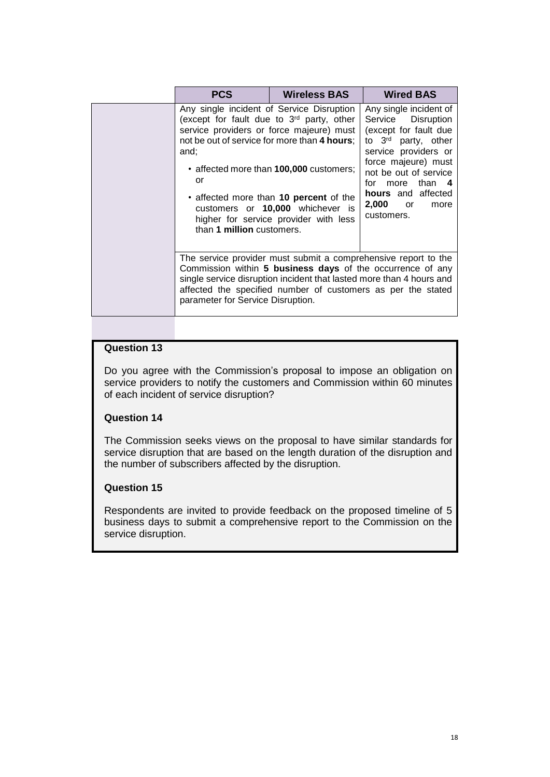| <b>PCS</b>                                                                                                                                                                                                                                                                                                | <b>Wireless BAS</b>                                                                                                                                                                                        | <b>Wired BAS</b>                                                                                                                                                                                                                                             |
|-----------------------------------------------------------------------------------------------------------------------------------------------------------------------------------------------------------------------------------------------------------------------------------------------------------|------------------------------------------------------------------------------------------------------------------------------------------------------------------------------------------------------------|--------------------------------------------------------------------------------------------------------------------------------------------------------------------------------------------------------------------------------------------------------------|
| Any single incident of Service Disruption<br>(except for fault due to 3 <sup>rd</sup> party, other<br>not be out of service for more than 4 hours;<br>and;<br>or<br>than 1 million customers.                                                                                                             | service providers or force majeure) must<br>• affected more than 100,000 customers;<br>• affected more than 10 percent of the<br>customers or 10,000 whichever is<br>higher for service provider with less | Any single incident of<br>Service Disruption<br>(except for fault due<br>to 3rd party, other<br>service providers or<br>force majeure) must<br>not be out of service<br>for more than 4<br>hours and affected<br>2,000<br>or <b>or</b><br>more<br>customers. |
| The service provider must submit a comprehensive report to the<br>Commission within 5 business days of the occurrence of any<br>single service disruption incident that lasted more than 4 hours and<br>affected the specified number of customers as per the stated<br>parameter for Service Disruption. |                                                                                                                                                                                                            |                                                                                                                                                                                                                                                              |

Do you agree with the Commission's proposal to impose an obligation on service providers to notify the customers and Commission within 60 minutes of each incident of service disruption?

#### **Question 14**

The Commission seeks views on the proposal to have similar standards for service disruption that are based on the length duration of the disruption and the number of subscribers affected by the disruption.

#### **Question 15**

Respondents are invited to provide feedback on the proposed timeline of 5 business days to submit a comprehensive report to the Commission on the service disruption.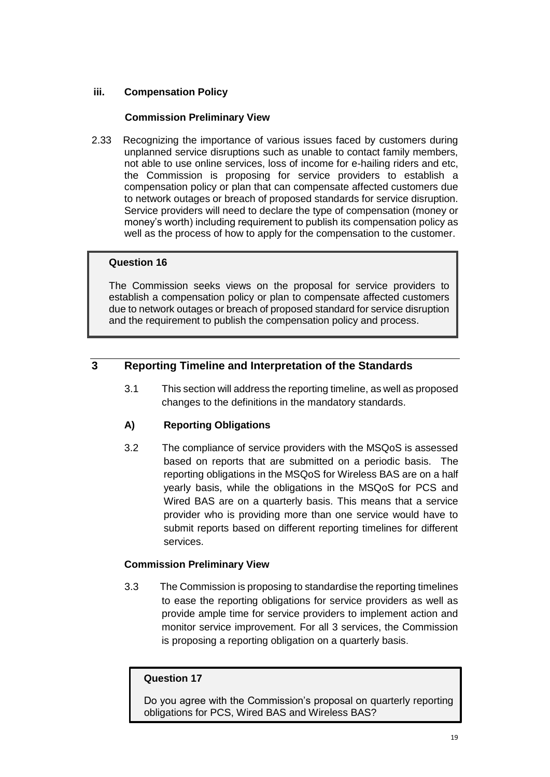# **iii. Compensation Policy**

# **Commission Preliminary View**

2.33Recognizing the importance of various issues faced by customers during unplanned service disruptions such as unable to contact family members, not able to use online services, loss of income for e-hailing riders and etc, the Commission is proposing for service providers to establish a compensation policy or plan that can compensate affected customers due to network outages or breach of proposed standards for service disruption. Service providers will need to declare the type of compensation (money or money's worth) including requirement to publish its compensation policy as well as the process of how to apply for the compensation to the customer.

#### **Question 16**

The Commission seeks views on the proposal for service providers to establish a compensation policy or plan to compensate affected customers due to network outages or breach of proposed standard for service disruption and the requirement to publish the compensation policy and process.

# **3 Reporting Timeline and Interpretation of the Standards**

3.1 This section will address the reporting timeline, as well as proposed changes to the definitions in the mandatory standards.

# **A) Reporting Obligations**

3.2 The compliance of service providers with the MSQoS is assessed based on reports that are submitted on a periodic basis. The reporting obligations in the MSQoS for Wireless BAS are on a half yearly basis, while the obligations in the MSQoS for PCS and Wired BAS are on a quarterly basis. This means that a service provider who is providing more than one service would have to submit reports based on different reporting timelines for different services.

# **Commission Preliminary View**

3.3 The Commission is proposing to standardise the reporting timelines to ease the reporting obligations for service providers as well as provide ample time for service providers to implement action and monitor service improvement. For all 3 services, the Commission is proposing a reporting obligation on a quarterly basis.

#### **Question 17**

Do you agree with the Commission's proposal on quarterly reporting obligations for PCS, Wired BAS and Wireless BAS?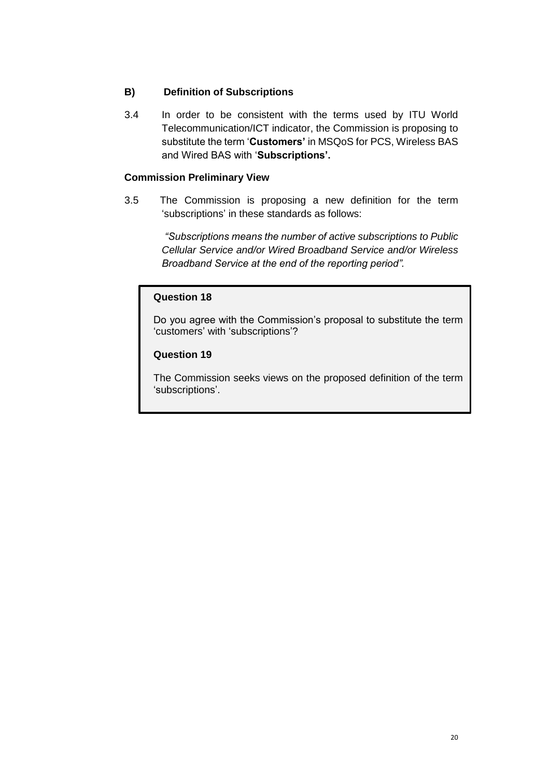# **B) Definition of Subscriptions**

3.4 In order to be consistent with the terms used by ITU World Telecommunication/ICT indicator, the Commission is proposing to substitute the term '**Customers'** in MSQoS for PCS, Wireless BAS and Wired BAS with '**Subscriptions'.**

## **Commission Preliminary View**

3.5 The Commission is proposing a new definition for the term 'subscriptions' in these standards as follows:

> *"Subscriptions means the number of active subscriptions to Public Cellular Service and/or Wired Broadband Service and/or Wireless Broadband Service at the end of the reporting period".*

#### **Question 18**

Do you agree with the Commission's proposal to substitute the term 'customers' with 'subscriptions'?

#### **Question 19**

The Commission seeks views on the proposed definition of the term 'subscriptions'.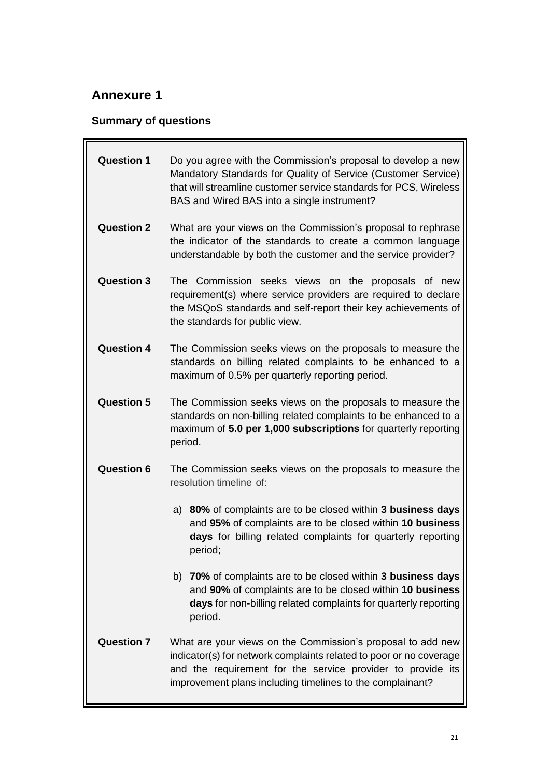# **Annexure 1**

# **Summary of questions**

| <b>Question 1</b> | Do you agree with the Commission's proposal to develop a new<br>Mandatory Standards for Quality of Service (Customer Service)<br>that will streamline customer service standards for PCS, Wireless<br>BAS and Wired BAS into a single instrument?             |  |
|-------------------|---------------------------------------------------------------------------------------------------------------------------------------------------------------------------------------------------------------------------------------------------------------|--|
| <b>Question 2</b> | What are your views on the Commission's proposal to rephrase<br>the indicator of the standards to create a common language<br>understandable by both the customer and the service provider?                                                                   |  |
| <b>Question 3</b> | The Commission seeks views on the<br>proposals of new<br>requirement(s) where service providers are required to declare<br>the MSQoS standards and self-report their key achievements of<br>the standards for public view.                                    |  |
| <b>Question 4</b> | The Commission seeks views on the proposals to measure the<br>standards on billing related complaints to be enhanced to a<br>maximum of 0.5% per quarterly reporting period.                                                                                  |  |
| <b>Question 5</b> | The Commission seeks views on the proposals to measure the<br>standards on non-billing related complaints to be enhanced to a<br>maximum of 5.0 per 1,000 subscriptions for quarterly reporting<br>period.                                                    |  |
| <b>Question 6</b> | The Commission seeks views on the proposals to measure the<br>resolution timeline of:                                                                                                                                                                         |  |
|                   | a) 80% of complaints are to be closed within 3 business days<br>and 95% of complaints are to be closed within 10 business<br>days for billing related complaints for quarterly reporting<br>period;                                                           |  |
|                   | b) 70% of complaints are to be closed within 3 business days<br>and 90% of complaints are to be closed within 10 business<br>days for non-billing related complaints for quarterly reporting<br>period.                                                       |  |
| <b>Question 7</b> | What are your views on the Commission's proposal to add new<br>indicator(s) for network complaints related to poor or no coverage<br>and the requirement for the service provider to provide its<br>improvement plans including timelines to the complainant? |  |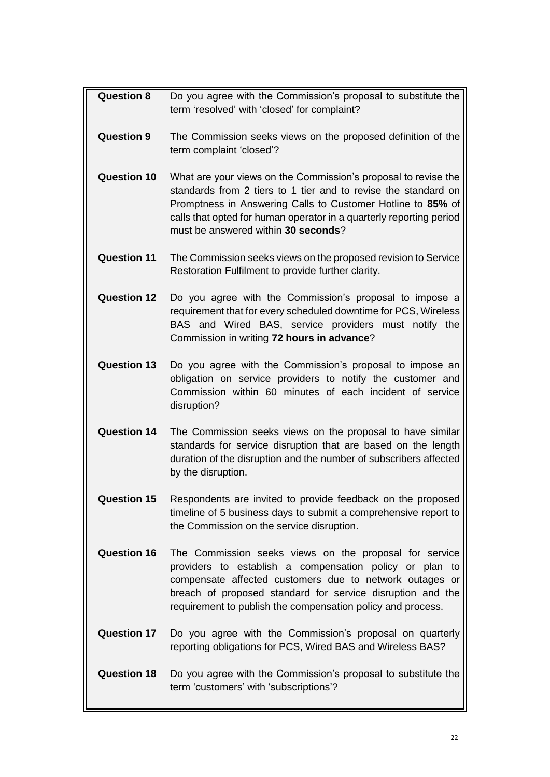| <b>Question 8</b>  | Do you agree with the Commission's proposal to substitute the<br>term 'resolved' with 'closed' for complaint?                                                                                                                                                                                                 |
|--------------------|---------------------------------------------------------------------------------------------------------------------------------------------------------------------------------------------------------------------------------------------------------------------------------------------------------------|
| <b>Question 9</b>  | The Commission seeks views on the proposed definition of the<br>term complaint 'closed'?                                                                                                                                                                                                                      |
| <b>Question 10</b> | What are your views on the Commission's proposal to revise the<br>standards from 2 tiers to 1 tier and to revise the standard on<br>Promptness in Answering Calls to Customer Hotline to 85% of<br>calls that opted for human operator in a quarterly reporting period<br>must be answered within 30 seconds? |
| <b>Question 11</b> | The Commission seeks views on the proposed revision to Service<br>Restoration Fulfilment to provide further clarity.                                                                                                                                                                                          |
| <b>Question 12</b> | Do you agree with the Commission's proposal to impose a<br>requirement that for every scheduled downtime for PCS, Wireless<br>BAS and Wired BAS, service providers must notify the<br>Commission in writing 72 hours in advance?                                                                              |
| <b>Question 13</b> | Do you agree with the Commission's proposal to impose an<br>obligation on service providers to notify the customer and<br>Commission within 60 minutes of each incident of service<br>disruption?                                                                                                             |
| <b>Question 14</b> | The Commission seeks views on the proposal to have similar<br>standards for service disruption that are based on the length<br>duration of the disruption and the number of subscribers affected<br>by the disruption.                                                                                        |
| <b>Question 15</b> | Respondents are invited to provide feedback on the proposed<br>timeline of 5 business days to submit a comprehensive report to<br>the Commission on the service disruption.                                                                                                                                   |
| <b>Question 16</b> | The Commission seeks views on the proposal for service<br>providers to establish a compensation policy or plan to<br>compensate affected customers due to network outages or<br>breach of proposed standard for service disruption and the<br>requirement to publish the compensation policy and process.     |
| <b>Question 17</b> | Do you agree with the Commission's proposal on quarterly<br>reporting obligations for PCS, Wired BAS and Wireless BAS?                                                                                                                                                                                        |
| <b>Question 18</b> | Do you agree with the Commission's proposal to substitute the<br>term 'customers' with 'subscriptions'?                                                                                                                                                                                                       |